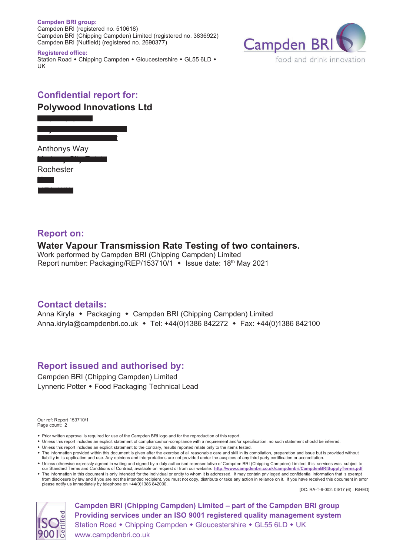**Campden BRI group:** Campden BRI (registered no. 510618) Campden BRI (Chipping Campden) Limited (registered no. 3836922) Campden BRI (Nutfield) (registered no. 2690377)

#### **Registered office:**

Station Road • Chipping Campden • Gloucestershire • GL55 6LD • **IK** 



# **Confidential report for:**

Polywood Innovations Ltd

|  | <b>Polywood Innovations Ltd</b> |  |
|--|---------------------------------|--|
|--|---------------------------------|--|

Unit 8 Rochester Court Anthonys Way

Medway City Estate

FAO: Marc Ellis

**Rochester** 

 $\frac{1}{2}$  and  $\frac{1}{2}$   $\frac{1}{2}$   $\frac{1}{2}$   $\frac{1}{2}$   $\frac{1}{2}$   $\frac{1}{2}$   $\frac{1}{2}$   $\frac{1}{2}$   $\frac{1}{2}$   $\frac{1}{2}$   $\frac{1}{2}$   $\frac{1}{2}$   $\frac{1}{2}$   $\frac{1}{2}$   $\frac{1}{2}$   $\frac{1}{2}$   $\frac{1}{2}$   $\frac{1}{2}$   $\frac{1}{2}$   $\frac{1}{2}$   $\frac{1}{2$ 

Kent

## **Report on:**

### **Water Vapour Transmission Rate Testing of two containers.**

Work performed by Campden BRI (Chipping Campden) Limited Report number: Packaging/REP/153710/1 • Issue date: 18<sup>th</sup> May 2021

### **Contact details:**

Anna Kiryla • Packaging • Campden BRI (Chipping Campden) Limited Anna.kiryla@campdenbri.co.uk • Tel: +44(0)1386 842272 • Fax: +44(0)1386 842100

# **Report issued and authorised by:**

Campden BRI (Chipping Campden) Limited Lynneric Potter • Food Packaging Technical Lead

Our ref: Report 153710/1 Page count: 2

- w Prior written approval is required for use of the Campden BRI logo and for the reproduction of this report.
- w Unless this report includes an explicit statement of compliance/non-compliance with a requirement and/or specification, no such statement should be inferred.
- w Unless this report includes an explicit statement to the contrary, results reported relate only to the items tested.
- \* The information provided within this document is given after the exercise of all reasonable care and skill in its compilation, preparation and issue but is provided without liability in its application and use. Any opinions and interpretations are not provided under the auspices of any third party certification or accreditation.
- w Unless otherwise expressly agreed in writing and signed by a duly authorised representative of Campden BRI (Chipping Campden) Limited, this services was subject to our Standard Terms and Conditions of Contract, available on request or from our website: **<http://www.campdenbri.co.uk/campdenbri/CampdenBRISupplyTerms.pdf>**
- \* The information in this document is only intended for the individual or entity to whom it is addressed. It may contain privileged and confidential information that is exempt from disclosure by law and if you are not the please notify us immediately by telephone on +44(0)1386 842000.

[DC: RA-T-9-002: 03/17 (6) : R/HED]



**Campden BRI (Chipping Campden) Limited – part of the Campden BRI group Providing services under an ISO 9001 registered quality management system** Station Road • Chipping Campden • Gloucestershire • GL55 6LD • UK www.campdenbri.co.uk